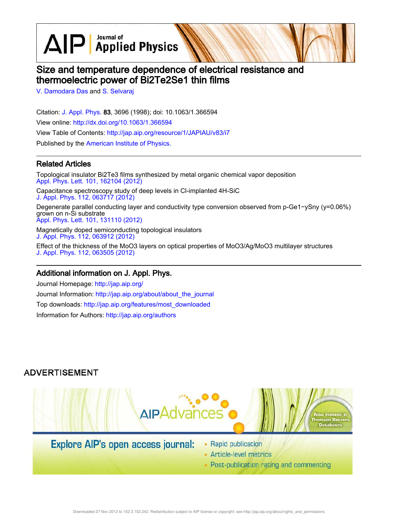$\text{AlP}$  Applied Physics

# Size and temperature dependence of electrical resistance and thermoelectric power of Bi2Te2Se1 thin films

V. Damodara Das and S. Selvaraj

Citation: J. Appl. Phys. 83, 3696 (1998); doi: 10.1063/1.366594 View online: http://dx.doi.org/10.1063/1.366594 View Table of Contents: http://jap.aip.org/resource/1/JAPIAU/v83/i7 Published by the American Institute of Physics.

## Related Articles

Topological insulator Bi2Te3 films synthesized by metal organic chemical vapor deposition Appl. Phys. Lett. 101, 162104 (2012) Capacitance spectroscopy study of deep levels in Cl-implanted 4H-SiC J. Appl. Phys. 112, 063717 (2012) Degenerate parallel conducting layer and conductivity type conversion observed from p-Ge1−ySny (y=0.06%) grown on n-Si substrate Appl. Phys. Lett. 101, 131110 (2012)

Magnetically doped semiconducting topological insulators J. Appl. Phys. 112, 063912 (2012)

Effect of the thickness of the MoO3 layers on optical properties of MoO3/Ag/MoO3 multilayer structures J. Appl. Phys. 112, 063505 (2012)

# Additional information on J. Appl. Phys.

Journal Homepage: http://jap.aip.org/ Journal Information: http://jap.aip.org/about/about\_the\_journal Top downloads: http://jap.aip.org/features/most\_downloaded Information for Authors: http://jap.aip.org/authors

# **ADVERTISEMENT**



# Explore AIP's open access journal:

- Rapid publication
- Article-level metrics
- Post-publication rating and commenting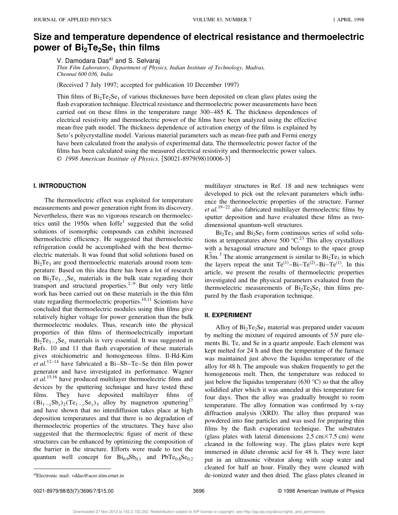# **Size and temperature dependence of electrical resistance and thermoelectric power of Bi2Te2Se<sup>1</sup> thin films**

V. Damodara Das<sup>a)</sup> and S. Selvaraj

*Thin Film Laboratory, Department of Physics, Indian Institute of Technology, Madras, Chennai 600 036, India*

(Received 7 July 1997; accepted for publication 10 December 1997)

Thin films of  $Bi_2Te_2Se_1$  of various thicknesses have been deposited on clean glass plates using the flash evaporation technique. Electrical resistance and thermoelectric power measurements have been carried out on these films in the temperature range 300–485 K. The thickness dependences of electrical resistivity and thermoelectric power of the films have been analyzed using the effective mean-free path model. The thickness dependence of activation energy of the films is explained by Seto's polycrystalline model. Various material parameters such as mean-free path and Fermi energy have been calculated from the analysis of experimental data. The thermoelectric power factor of the films has been calculated using the measured electrical resistivity and thermoelectric power values. © 1998 American Institute of Physics. [S0021-8979(98)10006-3]

## **I. INTRODUCTION**

The thermoelectric effect was exploited for temperature measurements and power generation right from its discovery. Nevertheless, there was no vigorous research on thermoelectrics until the 1950s when  $Ioffe<sup>1</sup>$  suggested that the solid solutions of isomorphic compounds can exhibit increased thermoelectric efficiency. He suggested that thermoelectric refrigeration could be accomplished with the best thermoelectric materials. It was found that solid solutions based on  $Bi<sub>2</sub>Te<sub>3</sub>$  are good thermoelectric materials around room temperature. Based on this idea there has been a lot of research on  $Bi_2Te_{3-x}Se_x$  materials in the bulk state regarding their transport and structural properties. $2-9$  But only very little work has been carried out on these materials in the thin film state regarding thermoelectric properties.<sup>10,11</sup> Scientists have concluded that thermoelectric modules using thin films give relatively higher voltage for power generation than the bulk thermoelectric modules. Thus, research into the physical properties of thin films of thermoelectrically important  $Bi_2Te_{3-x}Se_x$  materials is very essential. It was suggested in Refs. 10 and 11 that flash evaporation of these materials gives stoichiometric and homogeneous films. Il-Hd-Kim *et al.*12–14 have fabricated a Bi–Sb–Te–Se thin film power generator and have investigated its performance. Wagner *et al.*15,16 have produced multilayer thermoelectric films and devices by the sputtering technique and have tested these films. They have deposited multilayer films of  $(Bi_{1-x}Sb_x)_2(Te_{1-y}Se_y)_3$  alloy by magnetron sputtering<sup>17</sup> and have shown that no interdiffusion takes place at high deposition temperatures and that there is no degradation of thermoelectric properties of the structures. They have also suggested that the thermoelectric figure of merit of these structures can be enhanced by optimizing the composition of the barrier in the structure. Efforts were made to test the quantum well concept for  $\text{Bi}_{0.9}\text{Sb}_{0.1}$  and  $\text{PbTe}_{0.8}\text{Se}_{0.2}$  multilayer structures in Ref. 18 and new techniques were developed to pick out the relevant parameters which influence the thermoelectric properties of the structure. Farmer *et al.*<sup>19–22</sup> also fabricated multilayer thermoelectric films by sputter deposition and have evaluated these films as twodimensional quantum-well structures.

 $Bi_2Te_3$  and  $Bi_2Se_3$  form continuous series of solid solutions at temperatures above 500  $^{\circ}$ C.<sup>23</sup> This alloy crystallizes with a hexagonal structure and belongs to the space group  $R\overline{3}m$ .<sup>5</sup> The atomic arrangement is similar to  $Bi_2Te_3$  in which the layers repeat the unit  $Te^{(1)} - Bi - Te^{(2)} - Bi - Te^{(1)}$ . In this article, we present the results of thermoelectric properties investigated and the physical parameters evaluated from the thermoelectric measurements of  $Bi_2Te_2Se_1$  thin films prepared by the flash evaporation technique.

#### **II. EXPERIMENT**

Alloy of  $Bi_2Te_2Se_1$  material was prepared under vacuum by melting the mixture of required amounts of 5*N* pure elements Bi, Te, and Se in a quartz ampoule. Each element was kept melted for 24 h and then the temperature of the furnace was maintained just above the liquidus temperature of the alloy for 48 h. The ampoule was shaken frequently to get the homogeneous melt. Then, the temperature was reduced to just below the liquidus temperature  $(630 °C)$  so that the alloy solidified after which it was annealed at this temperature for four days. Then the alloy was gradually brought to room temperature. The alloy formation was confirmed by x-ray diffraction analysis  $(XRD)$ . The alloy thus prepared was powdered into fine particles and was used for preparing thin films by the flash evaporation technique. The substrates (glass plates with lateral dimensions  $2.5 \text{ cm} \times 7.5 \text{ cm}$ ) were cleaned in the following way. The glass plates were kept immersed in dilute chromic acid for 48 h. They were later put in an ultrasonic vibrator along with soap water and cleaned for half an hour. Finally they were cleaned with a)Electronic mail: vddas@acer.iitm.ernet.in and here is a state of the glass plates cleaned in a state of the glass plates cleaned in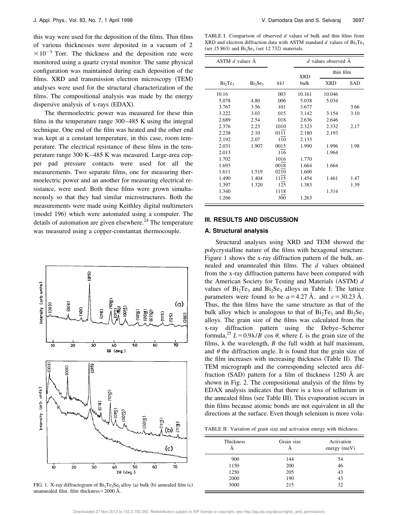this way were used for the deposition of the films. Thin films of various thicknesses were deposited in a vacuum of 2  $\times 10^{-5}$  Torr. The thickness and the deposition rate were monitored using a quartz crystal monitor. The same physical configuration was maintained during each deposition of the films. XRD and transmission electron microscopy (TEM) analyses were used for the structural characterization of the films. The compositional analysis was made by the energy dispersive analysis of  $x$ -rays  $(EDAX)$ .

The thermoelectric power was measured for these thin films in the temperature range 300–485 K using the integral technique. One end of the film was heated and the other end was kept at a constant temperature, in this case, room temperature. The electrical resistance of these films in the temperature range 300 K–485 K was measured. Large-area copper pad pressure contacts were used for all the measurements. Two separate films, one for measuring thermoelectric power and an another for measuring electrical resistance, were used. Both these films were grown simultaneously so that they had similar microstructures. Both the measurements were made using Keithley digital multimeters (model 196) which were automated using a computer. The details of automation are given elsewhere.<sup>24</sup> The temperature was measured using a copper-constantan thermocouple.



FIG. 1. X-ray diffractogram of  $Bi_2Te_2Se_1$  alloy (a) bulk (b) annealed film (c) unannealed film, film thickness =  $2000 \text{ Å}.$ 

TABLE I. Comparison of observed *d* values of bulk and thin films from XRD and electron diffraction data with ASTM standard  $d$  values of  $Bi_2Te_3$ (set 15 863) and  $Bi<sub>2</sub>Se<sub>3</sub>$  (set 12 732) materials.

| ASTM $d$ values $\AA$           |            |      | d values observed $\AA$ |            |      |
|---------------------------------|------------|------|-------------------------|------------|------|
|                                 |            |      | <b>XRD</b>              | thin film  |      |
| Bi <sub>2</sub> Te <sub>3</sub> | $Bi_2Se_3$ | hkl  | bulk                    | <b>XRD</b> | SAD  |
| 10.16                           |            | 003  | 10.161                  | 10.046     |      |
| 5.078                           | 4.80       | 006  | 5.038                   | 5.034      |      |
| 3.767                           | 3.56       | 101  | 3.677                   |            | 3.66 |
| 3.222                           | 3.03       | 015  | 3.142                   | 3.154      | 3.10 |
| 2.689                           | 2.54       | 018  | 2.636                   | 2.646      |      |
| 2.376                           | 2.23       | 1010 | 2.323                   | 2.332      | 2.17 |
| 2.238                           | 2.10       | 0111 | 2.180                   | 2.193      |      |
| 2.192                           | 2.07       | 110  | 2.133                   |            |      |
| 2.031                           | 1.907      | 0015 | 1.990                   | 1.996      | 1.98 |
| 2.013                           |            | 116  |                         | 1.964      |      |
| 1.702                           |            | 1016 | 1.770                   |            |      |
| 1.693                           |            | 0018 | 1.664                   | 1.664      |      |
| 1.611                           | 1.519      | 0210 | 1.600                   |            |      |
| 1.490                           | 1.404      | 1115 | 1.454                   | 1.461      | 1.47 |
| 1.397                           | 1.320      | 125  | 1.383                   |            | 1.39 |
| 1.340                           |            | 1118 |                         | 1.314      |      |
| 1.266                           |            | 300  | 1.263                   |            |      |

#### **III. RESULTS AND DISCUSSION**

#### **A. Structural analysis**

Structural analyses using XRD and TEM showed the polycrystalline nature of the films with hexagonal structure. Figure 1 shows the x-ray diffraction pattern of the bulk, annealed and unannealed thin films. The *d* values obtained from the x-ray diffraction patterns have been compared with the American Society for Testing and Materials (ASTM) *d* values of  $Bi<sub>2</sub>Te<sub>3</sub>$  and  $Bi<sub>2</sub>Se<sub>3</sub>$  alloys in Table I: The lattice parameters were found to be  $a=4.27 \text{ Å}$ , and  $c=30.23 \text{ Å}$ . Thus, the thin films have the same structure as that of the bulk alloy which is analogous to that of  $Bi_2Te_3$  and  $Bi_2Se_3$ alloys. The grain size of the films was calculated from the x-ray diffraction pattern using the Debye–Scherrer formula,<sup>25</sup>  $L = 0.9\lambda/B$  cos  $\theta$ , where *L* is the grain size of the films,  $\lambda$  the wavelength,  $B$  the full width at half maximum, and  $\theta$  the diffraction angle. It is found that the grain size of the film increases with increasing thickness (Table II). The TEM micrograph and the corresponding selected area diffraction  $(SAD)$  pattern for a film of thickness 1250 Å are shown in Fig. 2. The compositional analysis of the films by EDAX analysis indicates that there is a loss of tellurium in the annealed films (see Table III). This evaporation occurs in thin films because atomic bonds are not equivalent in all the directions at the surface. Even though selenium is more vola-

|  | TABLE II. Variation of grain size and activation energy with thickness. |  |  |  |  |  |  |
|--|-------------------------------------------------------------------------|--|--|--|--|--|--|
|--|-------------------------------------------------------------------------|--|--|--|--|--|--|

| Thickness | Grain size | Activation<br>energy $(meV)$ |
|-----------|------------|------------------------------|
| 900       | 144        | 54                           |
| 1150      | 200        | 46                           |
| 1250      | 205        | 43                           |
| 2000      | 190        | 43                           |
| 3000      | 215        | 32                           |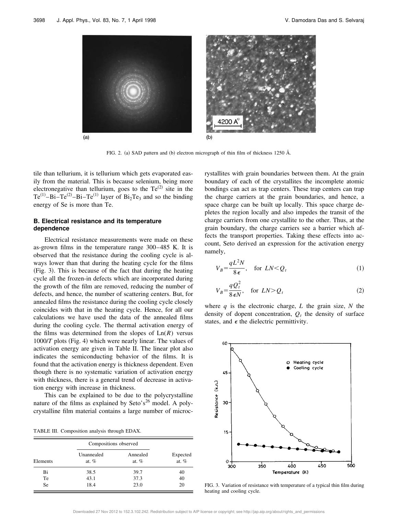

FIG. 2. (a) SAD pattern and (b) electron micrograph of thin film of thickness 1250 Å.

tile than tellurium, it is tellurium which gets evaporated easily from the material. This is because selenium, being more electronegative than tellurium, goes to the  $Te^{(2)}$  site in the Te<sup>(1)</sup>-Bi-Te<sup>(2)</sup>-Bi-Te<sup>(1)</sup> layer of Bi<sub>2</sub>Te<sub>3</sub> and so the binding energy of Se is more than Te.

### **B. Electrical resistance and its temperature dependence**

Electrical resistance measurements were made on these as-grown films in the temperature range 300–485 K. It is observed that the resistance during the cooling cycle is always lower than that during the heating cycle for the films  $(Fig. 3)$ . This is because of the fact that during the heating cycle all the frozen-in defects which are incorporated during the growth of the film are removed, reducing the number of defects, and hence, the number of scattering centers. But, for annealed films the resistance during the cooling cycle closely coincides with that in the heating cycle. Hence, for all our calculations we have used the data of the annealed films during the cooling cycle. The thermal activation energy of the films was determined from the slopes of  $Ln(R)$  versus  $1000/T$  plots (Fig. 4) which were nearly linear. The values of activation energy are given in Table II. The linear plot also indicates the semiconducting behavior of the films. It is found that the activation energy is thickness dependent. Even though there is no systematic variation of activation energy with thickness, there is a general trend of decrease in activation energy with increase in thickness.

This can be explained to be due to the polycrystalline nature of the films as explained by Seto's<sup>26</sup> model. A polycrystalline film material contains a large number of microc-

TABLE III. Composition analysis through EDAX.

|           |                       | Compositions observed |                     |  |
|-----------|-----------------------|-----------------------|---------------------|--|
| Elements  | Unannealed<br>at. $%$ | Annealed<br>at. $%$   | Expected<br>at. $%$ |  |
| Bi        | 38.5                  | 39.7                  | 40                  |  |
| Te        | 43.1                  | 37.3                  | 40                  |  |
| <b>Se</b> | 18.4                  | 23.0                  | 20                  |  |

rystallites with grain boundaries between them. At the grain boundary of each of the crystallites the incomplete atomic bondings can act as trap centers. These trap centers can trap the charge carriers at the grain boundaries, and hence, a space charge can be built up locally. This space charge depletes the region locally and also impedes the transit of the charge carriers from one crystallite to the other. Thus, at the grain boundary, the charge carriers see a barrier which affects the transport properties. Taking these effects into account, Seto derived an expression for the activation energy namely,

$$
V_B = \frac{qL^2N}{8\epsilon}, \quad \text{for } LN < Q_t \tag{1}
$$

$$
V_B = \frac{qQ_t^2}{8\epsilon N}, \quad \text{for } LN > Q_t \tag{2}
$$

where *q* is the electronic charge, *L* the grain size, *N* the density of dopent concentration,  $Q_t$  the density of surface states, and  $\epsilon$  the dielectric permittivity.



FIG. 3. Variation of resistance with temperature of a typical thin film during heating and cooling cycle.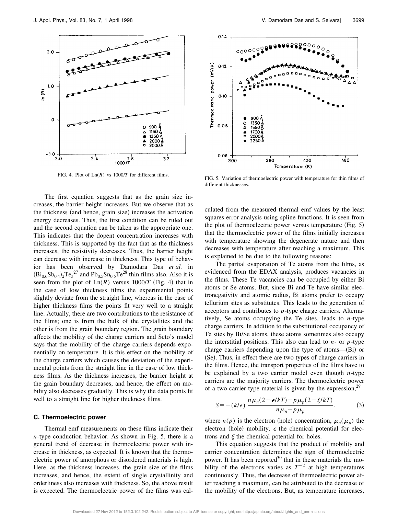

The first equation suggests that as the grain size increases, the barrier height increases. But we observe that as the thickness (and hence, grain size) increases the activation energy decreases. Thus, the first condition can be ruled out and the second equation can be taken as the appropriate one. This indicates that the dopent concentration increases with thickness. This is supported by the fact that as the thickness increases, the resistivity decreases. Thus, the barrier height can decrease with increase in thickness. This type of behavior has been observed by Damodara Das *et al.* in  $(Bi_{0.6}Sb_{0.4})_2Te_3^{27}$  and  $Pb_{0.5}Sn_{0.5}Te^{28}$  thin films also. Also it is seen from the plot of  $Ln(R)$  versus  $1000/T$  (Fig. 4) that in the case of low thickness films the experimental points slightly deviate from the straight line, whereas in the case of higher thickness films the points fit very well to a straight line. Actually, there are two contributions to the resistance of the films; one is from the bulk of the crystallites and the other is from the grain boundary region. The grain boundary affects the mobility of the charge carriers and Seto's model says that the mobility of the charge carriers depends exponentially on temperature. It is this effect on the mobility of the charge carriers which causes the deviation of the experimental points from the straight line in the case of low thickness films. As the thickness increases, the barrier height at the grain boundary decreases, and hence, the effect on mobility also decreases gradually. This is why the data points fit well to a straight line for higher thickness films.

#### **C. Thermoelectric power**

Thermal emf measurements on these films indicate their *n*-type conduction behavior. As shown in Fig. 5, there is a general trend of decrease in thermoelectric power with increase in thickness, as expected. It is known that the thermoelectric power of amorphous or disordered materials is high. Here, as the thickness increases, the grain size of the films increases, and hence, the extent of single crystallinity and orderliness also increases with thickness. So, the above result is expected. The thermoelectric power of the films was cal-



FIG. 4. Plot of Ln(*R*) vs 1000/*T* for different films. FIG. 5. Variation of thermoelectric power with temperature for thin films of different thicknesses.

culated from the measured thermal emf values by the least squares error analysis using spline functions. It is seen from the plot of thermoelectric power versus temperature  $(Fig. 5)$ that the thermoelectric power of the films initially increases with temperature showing the degenerate nature and then decreases with temperature after reaching a maximum. This is explained to be due to the following reasons:

The partial evaporation of Te atoms from the films, as evidenced from the EDAX analysis, produces vacancies in the films. These Te vacancies can be occupied by either Bi atoms or Se atoms. But, since Bi and Te have similar electronegativity and atomic radius, Bi atoms prefer to occupy tellurium sites as substitutes. This leads to the generation of acceptors and contributes to *p*-type charge carriers. Alternatively, Se atoms occupying the Te sites, leads to *n*-type charge carriers. In addition to the substitutional occupancy of Te sites by Bi/Se atoms, these atoms sometimes also occupy the interstitial positions. This also can lead to *n*- or *p*-type charge carriers depending upon the type of atoms— $(Bi)$  or (Se). Thus, in effect there are two types of charge carriers in the films. Hence, the transport properties of the films have to be explained by a two carrier model even though *n*-type carriers are the majority carriers. The thermoelectric power of a two carrier type material is given by the expression,  $29$ 

$$
S = -(k/e)\frac{n\mu_n(2-\epsilon/kT) - p\mu_p(2-\xi/kT)}{n\mu_n + p\mu_p},\tag{3}
$$

where  $n(p)$  is the electron (hole) concentration,  $\mu_n(\mu_p)$  the electron (hole) mobility,  $\epsilon$  the chemical potential for electrons and  $\xi$  the chemical potential for holes.

This equation suggests that the product of mobility and carrier concentration determines the sign of thermoelectric power. It has been reported $30$  that in these materials the mobility of the electrons varies as  $T^{-2}$  at high temperatures continuously. Thus, the decrease of thermoelectric power after reaching a maximum, can be attributed to the decrease of the mobility of the electrons. But, as temperature increases,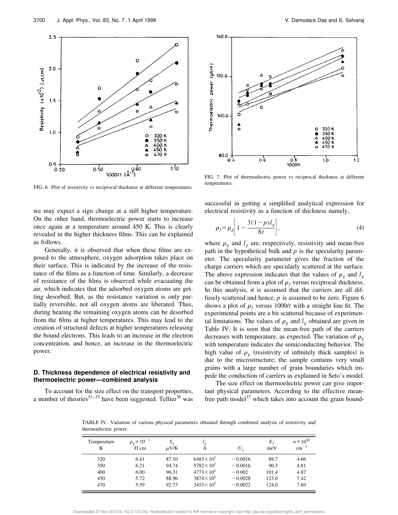

FIG. 6. Plot of resistivity vs reciprocal thickness at different temperatures.

we may expect a sign change at a still higher temperature. On the other hand, thermoelectric power starts to increase once again at a temperature around 450 K. This is clearly revealed in the higher thickness films. This can be explained as follows.

Generally, it is observed that when these films are exposed to the atmosphere, oxygen adsorption takes place on their surface. This is indicated by the increase of the resistance of the films as a function of time. Similarly, a decrease of resistance of the films is observed while evacuating the air, which indicates that the adsorbed oxygen atoms are getting desorbed. But, as the resistance variation is only partially reversible, not all oxygen atoms are liberated. Thus, during heating the remaining oxygen atoms can be desorbed from the films at higher temperatures. This may lead to the creation of structural defects at higher temperatures releasing the bound electrons. This leads to an increase in the electron concentration, and hence, an increase in the thermoelectric power.

### **D. Thickness dependence of electrical resistivity and thermoelectric power—combined analysis**

To account for the size effect on the transport properties, a number of theories<sup>31–35</sup> have been suggested. Tellier<sup>36</sup> was



FIG. 7. Plot of thermoelectric power vs reciprocal thickness at different temperatures.

successful in getting a simplified analytical expression for electrical resistivity as a function of thickness namely,

$$
\rho_f = \rho_g \bigg[ 1 - \frac{3(1-p)l_g}{8t} \bigg],\tag{4}
$$

where  $\rho_g$  and  $l_g$  are, respectively, resistivity and mean-free path in the hypothetical bulk and *p* is the specularity parameter. The specularity parameter gives the fraction of the charge carriers which are specularly scattered at the surface. The above expression indicates that the values of  $\rho_g$  and  $l_g$ can be obtained from a plot of  $\rho_f$  versus reciprocal thickness. In this analysis, it is assumed that the carriers are all diffusely scattered and hence, *p* is assumed to be zero. Figure 6 shows a plot of  $\rho_f$  versus 1000/*t* with a straight line fit. The experimental points are a bit scattered because of experimental limitations. The values of  $\rho_g$  and  $l_g$  obtained are given in Table IV. It is seen that the mean-free path of the carriers decreases with temperature, as expected. The variation of  $\rho<sub>g</sub>$ with temperature indicates the semiconducting behavior. The high value of  $\rho_g$  (resistivity of infinitely thick samples) is due to the microstructure; the sample contains very small grains with a large number of grain boundaries which impede the conduction of carriers as explained in Seto's model.

The size effect on thermoelectric power can give important physical parameters. According to the effective meanfree path model<sup>37</sup> which takes into account the grain bound-

TABLE IV. Variation of various physical parameters obtained through combined analysis of resistivity and thermoelectric power.

| Temperature<br>K | $\rho_e \times 10^{-3}$<br>$\Omega$ cm | $S_{g}$<br>$\mu$ V/K |                      | $U_{\rho}$ | $E_f$<br>meV | $n \times 10^{20}$<br>$\rm cm^{-3}$ |
|------------------|----------------------------------------|----------------------|----------------------|------------|--------------|-------------------------------------|
| 320              | 6.41                                   | 87.10                | $6483 \times 10^{2}$ | $-0.0016$  | 89.7         | 4.66                                |
| 350              | 6.21                                   | 94.74                | $5782 \times 10^{2}$ | $-0.0016$  | 90.3         | 4.81                                |
| 400              | 6.00                                   | 96.31                | $4773 \times 10^{2}$ | $-0.002$   | 101.4        | 4.87                                |
| 450              | 5.72                                   | 88.96                | $3874 \times 10^{2}$ | $-0.0028$  | 123.0        | 7.42                                |
| 470              | 5.59                                   | 92.73                | $3453 \times 10^{2}$ | $-0.0022$  | 124.0        | 7.69                                |

Downloaded 27 Nov 2012 to 152.3.102.242. Redistribution subject to AIP license or copyright; see http://jap.aip.org/about/rights\_and\_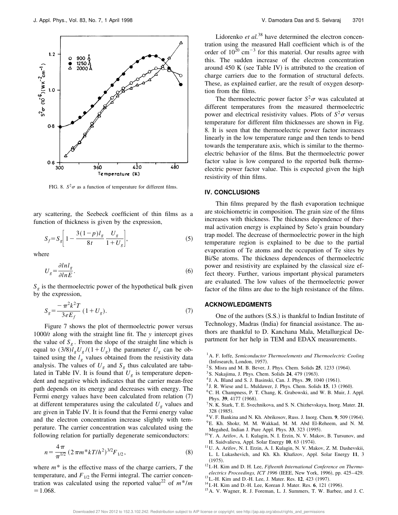

FIG. 8.  $S^2 \sigma$  as a function of temperature for different films.

ary scattering, the Seebeck coefficient of thin films as a function of thickness is given by the expression,

$$
S_f = S_g \bigg[ 1 - \frac{3(1-p)l_g}{8t} \frac{U_g}{1 + U_g} \bigg],
$$
 (5)

where

$$
U_g = \frac{\partial \ln l_g}{\partial \ln E}.\tag{6}
$$

 $S<sub>g</sub>$  is the thermoelectric power of the hypothetical bulk given by the expression,

$$
S_g = \frac{-\pi^2 k^2 T}{3eE_f} (1 + U_g).
$$
 (7)

Figure 7 shows the plot of thermoelectric power versus 1000/*t* along with the straight line fit. The *y* intercept gives the value of  $S<sub>g</sub>$ . From the slope of the straight line which is equal to  $(3/8)$  $\ell_g U_g / (1 + U_g)$  the parameter  $U_g$  can be obtained using the  $l_g$  values obtained from the resistivity data analysis. The values of  $U_g$  and  $S_g$  thus calculated are tabulated in Table IV. It is found that  $U_g$  is temperature dependent and negative which indicates that the carrier mean-free path depends on its energy and decreases with energy. The Fermi energy values have been calculated from relation  $(7)$ at different temperatures using the calculated  $U_g$  values and are given in Table IV. It is found that the Fermi energy value and the electron concentration increase slightly with temperature. The carrier concentration was calculated using the following relation for partially degenerate semiconductors:

$$
n = \frac{4\,\pi}{\pi^{1/2}} \left( 2\,\pi m^* k T / h^2 \right)^{3/2} F_{1/2},\tag{8}
$$

where *m*\* is the effective mass of the charge carriers, *T* the temperature, and  $F_{1/2}$  the Fermi integral. The carrier concentration was calculated using the reported value<sup>22</sup> of  $m^*/m$  $=1.068.$ 

Lidorenko *et al.*<sup>38</sup> have determined the electron concentration using the measured Hall coefficient which is of the order of  $10^{20}$  cm<sup>-3</sup> for this material. Our results agree with this. The sudden increase of the electron concentration around  $450 K$  (see Table IV) is attributed to the creation of charge carriers due to the formation of structural defects. These, as explained earlier, are the result of oxygen desorption from the films.

The thermoelectric power factor  $S^2 \sigma$  was calculated at different temperatures from the measured thermoelectric power and electrical resistivity values. Plots of  $S^2 \sigma$  versus temperature for different film thicknesses are shown in Fig. 8. It is seen that the thermoelectric power factor increases linearly in the low temperature range and then tends to bend towards the temperature axis, which is similar to the thermoelectric behavior of the films. But the thermoelectric power factor value is low compared to the reported bulk thermoelectric power factor value. This is expected given the high resistivity of thin films.

## **IV. CONCLUSIONS**

Thin films prepared by the flash evaporation technique are stoichiometric in composition. The grain size of the films increases with thickness. The thickness dependence of thermal activation energy is explained by Seto's grain boundary trap model. The decrease of thermoelectric power in the high temperature region is explained to be due to the partial evaporation of Te atoms and the occupation of Te sites by Bi/Se atoms. The thickness dependences of thermoelectric power and resistivity are explained by the classical size effect theory. Further, various important physical parameters are evaluated. The low values of the thermoelectric power factor of the films are due to the high resistance of the films.

### **ACKNOWLEDGMENTS**

One of the authors  $(S.S.)$  is thankful to Indian Institute of Technology, Madras (India) for financial assistance. The authors are thankful to D. Kanchana Mala, Metallurgical Department for her help in TEM and EDAX measurements.

- <sup>1</sup>A. F. Ioffe, *Semiconductor Thermoelements and Thermoelectric Cooling* (Infosearch, London, 1957).
- <sup>2</sup> S. Misra and M. B. Bever, J. Phys. Chem. Solids **25**, 1233 (1964).
- <sup>3</sup> S. Nakajima, J. Phys. Chem. Solids **24**, 479 (1963).
- <sup>4</sup> J. A. Bland and S. J. Basinski, Can. J. Phys. 39, 1040 (1961).
- <sup>5</sup> J. R. Wiese and L. Muldawer, J. Phys. Chem. Solids 15, 13 (1960).
- <sup>6</sup>C. H. Champness, P. T. Chang, K. Grabowski, and W. B. Muir, J. Appl. Phys. **39**, 4177 (1968).
- <sup>7</sup>N. K. Stark, T. E. Svechnikova, and S. N. Chizhevskaya, Inorg. Mater. **21**, 328 (1985).
- $8V$ . F. Bankina and N. Kh. Abrikosov, Russ. J. Inorg. Chem. 9, 509 (1964). <sup>9</sup>E. Kh. Shokr, M. M. Wakkad, M. M. Abd El-Reheem, and N. M.
- Megahed, Indian J. Pure Appl. Phys. 33, 323 (1995).
- <sup>10</sup>Y. A. Arifov, A. I. Kulagin, N. I. Erzin, N. V. Makov, B. Tursunov, and H. Saidvalieva, Appl. Solar Energy 10, 63 (1974).
- <sup>11</sup>U. A. Arifov, N. I. Erzin, A. I. Kulagin, N. V. Makov, Z. M. Dashevskii, L. L Lukashevich, and Kh. Kh. Khafizov, Appl. Solar Energy **11**, 3  $(1975).$
- <sup>12</sup> I.-H. Kim and D. H. Lee, *Fifteenth International Conference on Thermoelectrics Proceedings, ICT 1996* (IEEE, New York, 1996), pp. 425-429.
- <sup>13</sup> L.-H. Kim and D.-H. Lee, J. Mater. Res. **12**, 423 (1997).
- <sup>14</sup> I.-H. Kim and D.-H. Lee, Korean J. Mater. Res. 6, 121 (1996).
- <sup>15</sup>A. V. Wagner, R. J. Foreman, L. J. Summers, T. W. Barbee, and J. C.